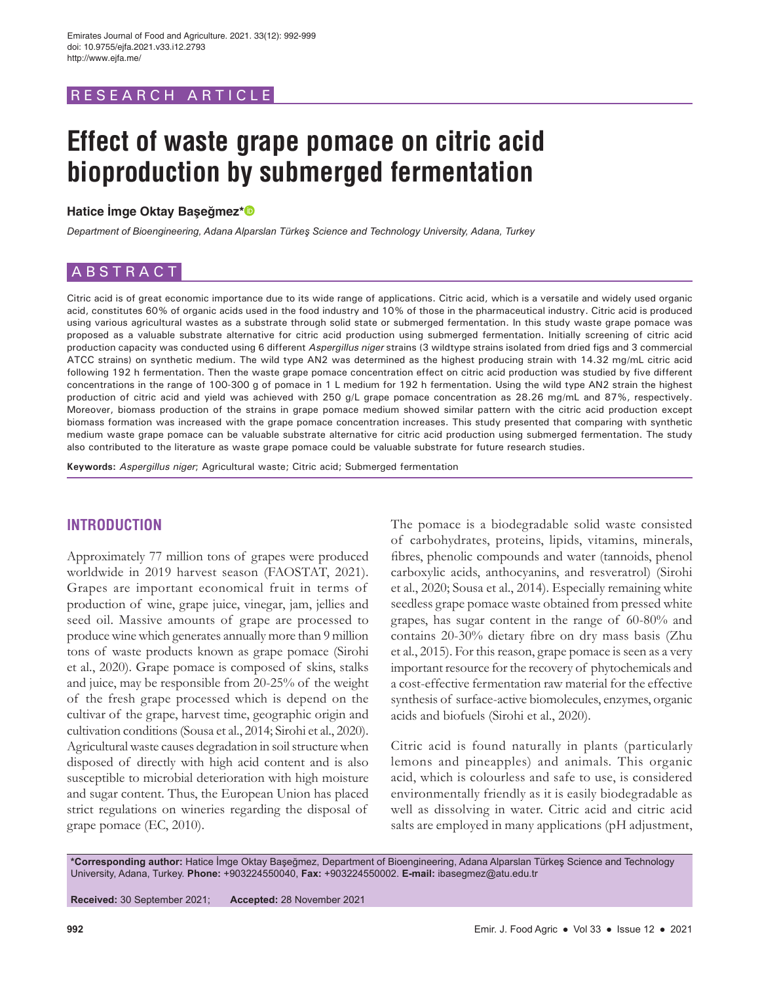# RESEARCH ARTICLE

# **Effect of waste grape pomace on citric acid bioproduction by submerged fermentation**

#### **Hatice İmge Oktay Başeğmez\***

*Department of Bioengineering, Adana Alparslan Türkeş Science and Technology University, Adana, Turkey*

# ABSTRACT

Citric acid is of great economic importance due to its wide range of applications. Citric acid, which is a versatile and widely used organic acid, constitutes 60% of organic acids used in the food industry and 10% of those in the pharmaceutical industry. Citric acid is produced using various agricultural wastes as a substrate through solid state or submerged fermentation. In this study waste grape pomace was proposed as a valuable substrate alternative for citric acid production using submerged fermentation. Initially screening of citric acid production capacity was conducted using 6 different Aspergillus niger strains (3 wildtype strains isolated from dried figs and 3 commercial ATCC strains) on synthetic medium. The wild type AN2 was determined as the highest producing strain with 14.32 mg/mL citric acid following 192 h fermentation. Then the waste grape pomace concentration effect on citric acid production was studied by five different concentrations in the range of 100-300 g of pomace in 1 L medium for 192 h fermentation. Using the wild type AN2 strain the highest production of citric acid and yield was achieved with 250 g/L grape pomace concentration as 28.26 mg/mL and 87%, respectively. Moreover, biomass production of the strains in grape pomace medium showed similar pattern with the citric acid production except biomass formation was increased with the grape pomace concentration increases. This study presented that comparing with synthetic medium waste grape pomace can be valuable substrate alternative for citric acid production using submerged fermentation. The study also contributed to the literature as waste grape pomace could be valuable substrate for future research studies.

**Keywords:** Aspergillus niger; Agricultural waste; Citric acid; Submerged fermentation

# **INTRODUCTION**

Approximately 77 million tons of grapes were produced worldwide in 2019 harvest season (FAOSTAT, 2021). Grapes are important economical fruit in terms of production of wine, grape juice, vinegar, jam, jellies and seed oil. Massive amounts of grape are processed to produce wine which generates annually more than 9 million tons of waste products known as grape pomace (Sirohi et al., 2020). Grape pomace is composed of skins, stalks and juice, may be responsible from 20-25% of the weight of the fresh grape processed which is depend on the cultivar of the grape, harvest time, geographic origin and cultivation conditions (Sousa et al., 2014; Sirohi et al., 2020). Agricultural waste causes degradation in soil structure when disposed of directly with high acid content and is also susceptible to microbial deterioration with high moisture and sugar content. Thus, the European Union has placed strict regulations on wineries regarding the disposal of grape pomace (EC, 2010).

The pomace is a biodegradable solid waste consisted of carbohydrates, proteins, lipids, vitamins, minerals, fibres, phenolic compounds and water (tannoids, phenol carboxylic acids, anthocyanins, and resveratrol) (Sirohi et al., 2020; Sousa et al., 2014). Especially remaining white seedless grape pomace waste obtained from pressed white grapes, has sugar content in the range of 60-80% and contains 20-30% dietary fibre on dry mass basis (Zhu et al., 2015). For this reason, grape pomace is seen as a very important resource for the recovery of phytochemicals and a cost-effective fermentation raw material for the effective synthesis of surface-active biomolecules, enzymes, organic acids and biofuels (Sirohi et al., 2020).

Citric acid is found naturally in plants (particularly lemons and pineapples) and animals. This organic acid, which is colourless and safe to use, is considered environmentally friendly as it is easily biodegradable as well as dissolving in water. Citric acid and citric acid salts are employed in many applications (pH adjustment,

**\*Corresponding author:** Hatice İmge Oktay Başeğmez, Department of Bioengineering, Adana Alparslan Türkeş Science and Technology University, Adana, Turkey. **Phone:** +903224550040, **Fax:** +903224550002. **E-mail:** ibasegmez@atu.edu.tr

**Received:** 30 September 2021; **Accepted:** 28 November 2021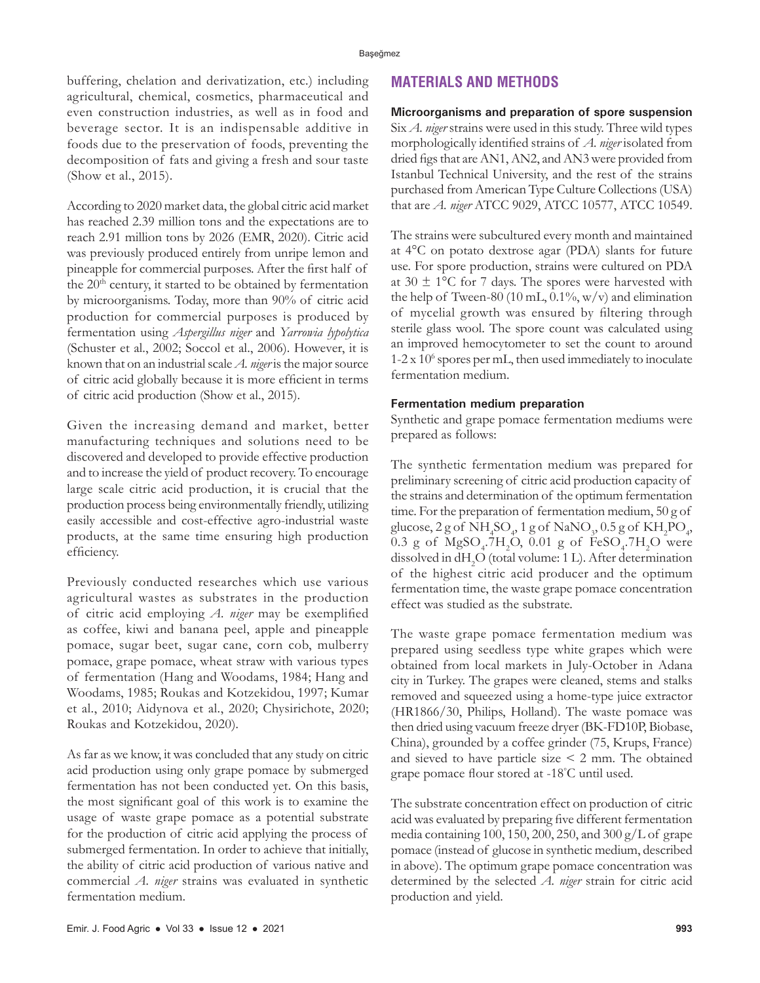buffering, chelation and derivatization, etc.) including agricultural, chemical, cosmetics, pharmaceutical and even construction industries, as well as in food and beverage sector. It is an indispensable additive in foods due to the preservation of foods, preventing the decomposition of fats and giving a fresh and sour taste (Show et al., 2015).

According to 2020 market data, the global citric acid market has reached 2.39 million tons and the expectations are to reach 2.91 million tons by 2026 (EMR, 2020). Citric acid was previously produced entirely from unripe lemon and pineapple for commercial purposes. After the first half of the  $20<sup>th</sup>$  century, it started to be obtained by fermentation by microorganisms. Today, more than 90% of citric acid production for commercial purposes is produced by fermentation using *Aspergillus niger* and *Yarrowia lypolytica* (Schuster et al., 2002; Soccol et al., 2006). However, it is known that on an industrial scale *A. niger* is the major source of citric acid globally because it is more efficient in terms of citric acid production (Show et al., 2015).

Given the increasing demand and market, better manufacturing techniques and solutions need to be discovered and developed to provide effective production and to increase the yield of product recovery. To encourage large scale citric acid production, it is crucial that the production process being environmentally friendly, utilizing easily accessible and cost-effective agro-industrial waste products, at the same time ensuring high production efficiency.

Previously conducted researches which use various agricultural wastes as substrates in the production of citric acid employing *A. niger* may be exemplified as coffee, kiwi and banana peel, apple and pineapple pomace, sugar beet, sugar cane, corn cob, mulberry pomace, grape pomace, wheat straw with various types of fermentation (Hang and Woodams, 1984; Hang and Woodams, 1985; Roukas and Kotzekidou, 1997; Kumar et al., 2010; Aidynova et al., 2020; Chysirichote, 2020; Roukas and Kotzekidou, 2020)*.*

As far as we know, it was concluded that any study on citric acid production using only grape pomace by submerged fermentation has not been conducted yet. On this basis, the most significant goal of this work is to examine the usage of waste grape pomace as a potential substrate for the production of citric acid applying the process of submerged fermentation. In order to achieve that initially, the ability of citric acid production of various native and commercial *A. niger* strains was evaluated in synthetic fermentation medium.

# **MATERIALS AND METHODS**

**Microorganisms and preparation of spore suspension** Six *A. niger* strains were used in this study. Three wild types morphologically identified strains of *A. niger* isolated from dried figs that are AN1, AN2, and AN3 were provided from Istanbul Technical University, and the rest of the strains purchased from American Type Culture Collections (USA) that are *A. niger* ATCC 9029, ATCC 10577, ATCC 10549.

The strains were subcultured every month and maintained at 4°C on potato dextrose agar (PDA) slants for future use. For spore production, strains were cultured on PDA at  $30 \pm 1$ °C for 7 days. The spores were harvested with the help of Tween-80 (10 mL,  $0.1\%$ , w/v) and elimination of mycelial growth was ensured by filtering through sterile glass wool. The spore count was calculated using an improved hemocytometer to set the count to around 1-2 x 106 spores per mL, then used immediately to inoculate fermentation medium.

#### **Fermentation medium preparation**

Synthetic and grape pomace fermentation mediums were prepared as follows:

The synthetic fermentation medium was prepared for preliminary screening of citric acid production capacity of the strains and determination of the optimum fermentation time. For the preparation of fermentation medium, 50 g of glucose, 2 g of  $\mathrm{NH}_4\mathrm{SO}_4$ , 1 g of  $\mathrm{NaNO}_3$ , 0.5 g of  $\mathrm{KH}_2\mathrm{PO}_4$ ,  $0.3$ g of  ${\rm MgSO_4}\textnormal{-}7{\rm H}_2{\rm O},\ 0.01$ g of FeSO<sub>4</sub>. $7{\rm H}_2{\rm O}$  were dissolved in  $dH_2O$  (total volume: 1 L). After determination of the highest citric acid producer and the optimum fermentation time, the waste grape pomace concentration effect was studied as the substrate.

The waste grape pomace fermentation medium was prepared using seedless type white grapes which were obtained from local markets in July-October in Adana city in Turkey. The grapes were cleaned, stems and stalks removed and squeezed using a home-type juice extractor (HR1866/30, Philips, Holland). The waste pomace was then dried using vacuum freeze dryer (BK-FD10P, Biobase, China), grounded by a coffee grinder (75, Krups, France) and sieved to have particle size  $\leq$  2 mm. The obtained grape pomace flour stored at -18° C until used.

The substrate concentration effect on production of citric acid was evaluated by preparing five different fermentation media containing 100, 150, 200, 250, and 300 g/L of grape pomace (instead of glucose in synthetic medium, described in above). The optimum grape pomace concentration was determined by the selected *A. niger* strain for citric acid production and yield.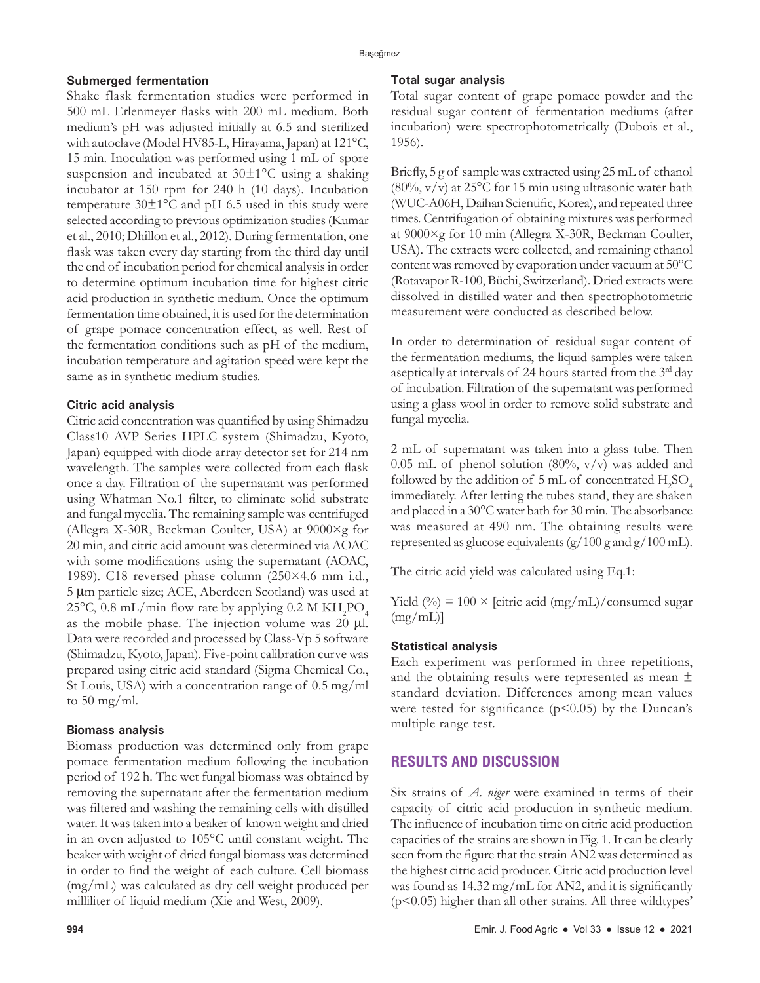#### **Submerged fermentation**

Shake flask fermentation studies were performed in 500 mL Erlenmeyer flasks with 200 mL medium. Both medium's pH was adjusted initially at 6.5 and sterilized with autoclave (Model HV85-L, Hirayama, Japan) at 121°C, 15 min. Inoculation was performed using 1 mL of spore suspension and incubated at  $30\pm1\textdegree C$  using a shaking incubator at 150 rpm for 240 h (10 days). Incubation temperature  $30\pm1\degree$ C and pH 6.5 used in this study were selected according to previous optimization studies (Kumar et al., 2010; Dhillon et al., 2012)*.* During fermentation, one flask was taken every day starting from the third day until the end of incubation period for chemical analysis in order to determine optimum incubation time for highest citric acid production in synthetic medium. Once the optimum fermentation time obtained, it is used for the determination of grape pomace concentration effect, as well. Rest of the fermentation conditions such as pH of the medium, incubation temperature and agitation speed were kept the same as in synthetic medium studies.

#### **Citric acid analysis**

Citric acid concentration was quantified by using Shimadzu Class10 AVP Series HPLC system (Shimadzu, Kyoto, Japan) equipped with diode array detector set for 214 nm wavelength. The samples were collected from each flask once a day. Filtration of the supernatant was performed using Whatman No.1 filter, to eliminate solid substrate and fungal mycelia. The remaining sample was centrifuged (Allegra X-30R, Beckman Coulter, USA) at  $9000 \times g$  for 20 min, and citric acid amount was determined via AOAC with some modifications using the supernatant (AOAC, 1989). C18 reversed phase column (250×4.6 mm i.d., 5 µm particle size; ACE, Aberdeen Scotland) was used at 25°C, 0.8 mL/min flow rate by applying 0.2 M  $\rm KH_2PO_4$ as the mobile phase. The injection volume was  $20 \mu$ l. Data were recorded and processed by Class-Vp 5 software (Shimadzu, Kyoto, Japan). Five-point calibration curve was prepared using citric acid standard (Sigma Chemical Co., St Louis, USA) with a concentration range of 0.5 mg/ml to  $50 \text{ mg/ml}$ .

#### **Biomass analysis**

Biomass production was determined only from grape pomace fermentation medium following the incubation period of 192 h. The wet fungal biomass was obtained by removing the supernatant after the fermentation medium was filtered and washing the remaining cells with distilled water. It was taken into a beaker of known weight and dried in an oven adjusted to 105°C until constant weight. The beaker with weight of dried fungal biomass was determined in order to find the weight of each culture. Cell biomass (mg/mL) was calculated as dry cell weight produced per milliliter of liquid medium (Xie and West, 2009).

#### **Total sugar analysis**

Total sugar content of grape pomace powder and the residual sugar content of fermentation mediums (after incubation) were spectrophotometrically (Dubois et al., 1956).

Briefly, 5 g of sample was extracted using 25 mL of ethanol  $(80\%, \frac{v}{v})$  at 25<sup>o</sup>C for 15 min using ultrasonic water bath (WUC-A06H, Daihan Scientific, Korea), and repeated three times. Centrifugation of obtaining mixtures was performed at 9000×g for 10 min (Allegra X-30R, Beckman Coulter, USA). The extracts were collected, and remaining ethanol content was removed by evaporation under vacuum at 50°C (Rotavapor R-100, Büchi, Switzerland). Dried extracts were dissolved in distilled water and then spectrophotometric measurement were conducted as described below.

In order to determination of residual sugar content of the fermentation mediums, the liquid samples were taken aseptically at intervals of 24 hours started from the 3rd day of incubation. Filtration of the supernatant was performed using a glass wool in order to remove solid substrate and fungal mycelia.

2 mL of supernatant was taken into a glass tube. Then 0.05 mL of phenol solution  $(80\%, v/v)$  was added and followed by the addition of 5 mL of concentrated  $\rm{H_2SO_4}$ immediately. After letting the tubes stand, they are shaken and placed in a 30°C water bath for 30 min. The absorbance was measured at 490 nm. The obtaining results were represented as glucose equivalents  $(g/100 \text{ g and } g/100 \text{ mL})$ .

The citric acid yield was calculated using Eq.1:

Yield (%) =  $100 \times$  [citric acid (mg/mL)/consumed sugar  $(mg/mL)$ ]

#### **Statistical analysis**

Each experiment was performed in three repetitions, and the obtaining results were represented as mean ± standard deviation. Differences among mean values were tested for significance  $(p<0.05)$  by the Duncan's multiple range test.

# **RESULTS AND DISCUSSION**

Six strains of *A. niger* were examined in terms of their capacity of citric acid production in synthetic medium. The influence of incubation time on citric acid production capacities of the strains are shown in Fig. 1. It can be clearly seen from the figure that the strain AN2 was determined as the highest citric acid producer. Citric acid production level was found as 14.32 mg/mL for AN2, and it is significantly  $(p<0.05)$  higher than all other strains. All three wildtypes'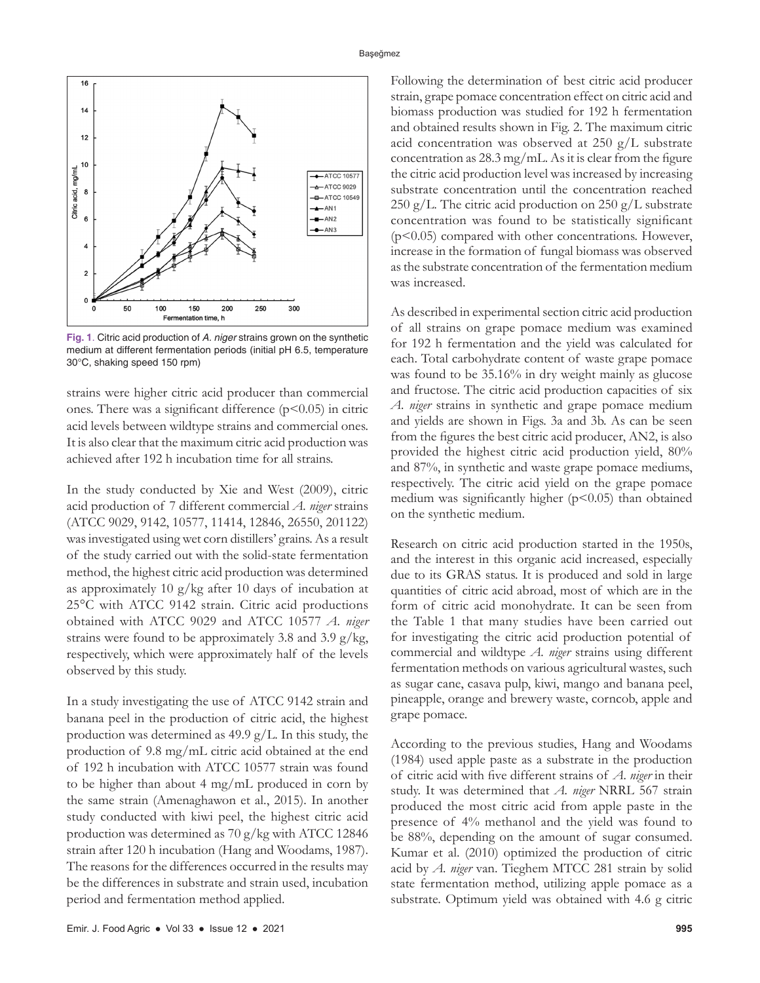

**Fig. 1**. Citric acid production of *A. niger* strains grown on the synthetic medium at different fermentation periods (initial pH 6.5, temperature 30°C, shaking speed 150 rpm)

strains were higher citric acid producer than commercial ones. There was a significant difference  $(p<0.05)$  in citric acid levels between wildtype strains and commercial ones. It is also clear that the maximum citric acid production was achieved after 192 h incubation time for all strains.

In the study conducted by Xie and West (2009), citric acid production of 7 different commercial *A. niger* strains (ATCC 9029, 9142, 10577, 11414, 12846, 26550, 201122) was investigated using wet corn distillers' grains. As a result of the study carried out with the solid-state fermentation method, the highest citric acid production was determined as approximately 10 g/kg after 10 days of incubation at 25°C with ATCC 9142 strain. Citric acid productions obtained with ATCC 9029 and ATCC 10577 *A. niger* strains were found to be approximately 3.8 and 3.9 g/kg, respectively, which were approximately half of the levels observed by this study.

In a study investigating the use of ATCC 9142 strain and banana peel in the production of citric acid, the highest production was determined as  $49.9 \text{ g/L}$ . In this study, the production of 9.8 mg/mL citric acid obtained at the end of 192 h incubation with ATCC 10577 strain was found to be higher than about 4 mg/mL produced in corn by the same strain (Amenaghawon et al., 2015). In another study conducted with kiwi peel, the highest citric acid production was determined as 70 g/kg with ATCC 12846 strain after 120 h incubation (Hang and Woodams, 1987). The reasons for the differences occurred in the results may be the differences in substrate and strain used, incubation period and fermentation method applied.

Following the determination of best citric acid producer strain, grape pomace concentration effect on citric acid and biomass production was studied for 192 h fermentation and obtained results shown in Fig. 2. The maximum citric acid concentration was observed at 250 g/L substrate concentration as 28.3 mg/mL. As it is clear from the figure the citric acid production level was increased by increasing substrate concentration until the concentration reached 250 g/L. The citric acid production on 250 g/L substrate concentration was found to be statistically significant (p<0.05) compared with other concentrations. However, increase in the formation of fungal biomass was observed as the substrate concentration of the fermentation medium was increased.

As described in experimental section citric acid production of all strains on grape pomace medium was examined for 192 h fermentation and the yield was calculated for each. Total carbohydrate content of waste grape pomace was found to be 35.16% in dry weight mainly as glucose and fructose. The citric acid production capacities of six *A. niger* strains in synthetic and grape pomace medium and yields are shown in Figs. 3a and 3b. As can be seen from the figures the best citric acid producer, AN2, is also provided the highest citric acid production yield, 80% and 87%, in synthetic and waste grape pomace mediums, respectively. The citric acid yield on the grape pomace medium was significantly higher ( $p$ <0.05) than obtained on the synthetic medium.

Research on citric acid production started in the 1950s, and the interest in this organic acid increased, especially due to its GRAS status. It is produced and sold in large quantities of citric acid abroad, most of which are in the form of citric acid monohydrate. It can be seen from the Table 1 that many studies have been carried out for investigating the citric acid production potential of commercial and wildtype *A. niger* strains using different fermentation methods on various agricultural wastes, such as sugar cane, casava pulp, kiwi, mango and banana peel, pineapple, orange and brewery waste, corncob, apple and grape pomace.

According to the previous studies, Hang and Woodams (1984) used apple paste as a substrate in the production of citric acid with five different strains of *A. niger* in their study. It was determined that *A. niger* NRRL 567 strain produced the most citric acid from apple paste in the presence of 4% methanol and the yield was found to be 88%, depending on the amount of sugar consumed. Kumar et al. (2010) optimized the production of citric acid by *A. niger* van. Tieghem MTCC 281 strain by solid state fermentation method, utilizing apple pomace as a substrate. Optimum yield was obtained with 4.6 g citric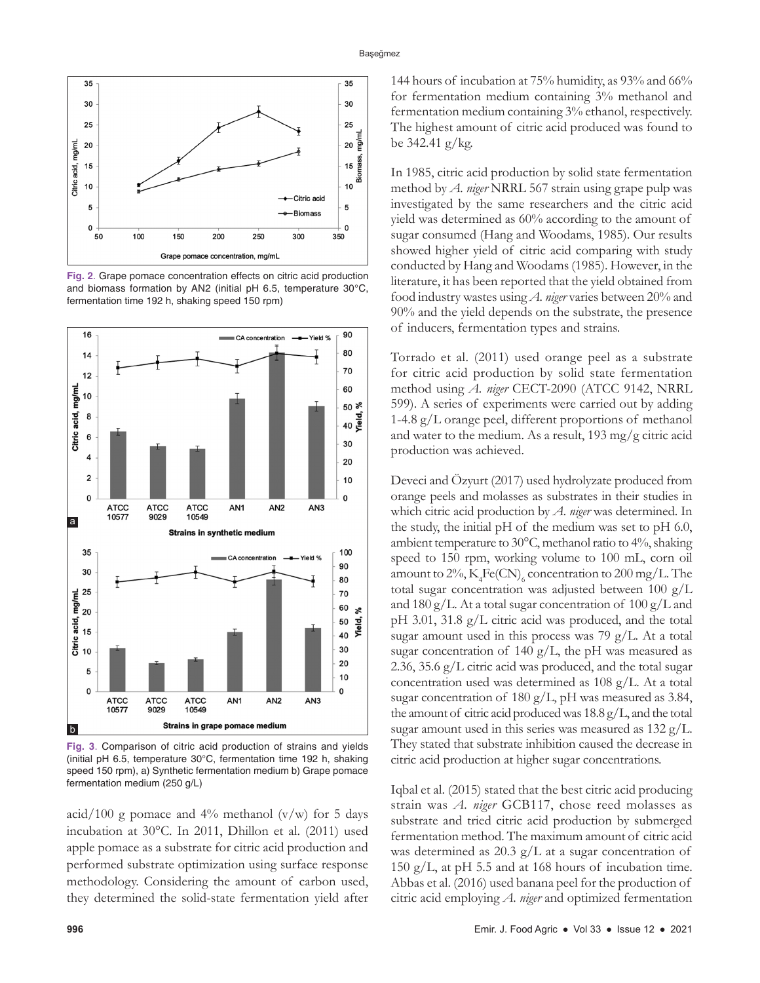

**Fig. 2**. Grape pomace concentration effects on citric acid production and biomass formation by AN2 (initial pH 6.5, temperature 30°C, fermentation time 192 h, shaking speed 150 rpm)



**Fig. 3**. Comparison of citric acid production of strains and yields (initial pH 6.5, temperature 30°C, fermentation time 192 h, shaking speed 150 rpm), a) Synthetic fermentation medium b) Grape pomace fermentation medium (250 g/L)

acid/100 g pomace and  $4\%$  methanol (v/w) for 5 days incubation at 30°C. In 2011, Dhillon et al. (2011) used apple pomace as a substrate for citric acid production and performed substrate optimization using surface response methodology. Considering the amount of carbon used, they determined the solid-state fermentation yield after 144 hours of incubation at 75% humidity, as 93% and 66% for fermentation medium containing 3% methanol and fermentation medium containing 3% ethanol, respectively. The highest amount of citric acid produced was found to be 342.41 g/kg.

In 1985, citric acid production by solid state fermentation method by *A. niger* NRRL 567 strain using grape pulp was investigated by the same researchers and the citric acid yield was determined as 60% according to the amount of sugar consumed (Hang and Woodams, 1985). Our results showed higher yield of citric acid comparing with study conducted by Hang and Woodams (1985). However, in the literature, it has been reported that the yield obtained from food industry wastes using *A. niger* varies between 20% and 90% and the yield depends on the substrate, the presence of inducers, fermentation types and strains.

Torrado et al. (2011) used orange peel as a substrate for citric acid production by solid state fermentation method using *A. niger* CECT-2090 (ATCC 9142, NRRL 599). A series of experiments were carried out by adding 1-4.8 g/L orange peel, different proportions of methanol and water to the medium. As a result, 193 mg/g citric acid production was achieved.

Deveci and Özyurt (2017) used hydrolyzate produced from orange peels and molasses as substrates in their studies in which citric acid production by *A. niger* was determined. In the study, the initial pH of the medium was set to pH 6.0, ambient temperature to 30°C, methanol ratio to 4%, shaking speed to 150 rpm, working volume to 100 mL, corn oil amount to  $2\%, K_4$ Fe(CN)<sub>6</sub> concentration to 200 mg/L. The total sugar concentration was adjusted between 100 g/L and 180 g/L. At a total sugar concentration of  $100 \text{ g/L}$  and pH 3.01, 31.8 g/L citric acid was produced, and the total sugar amount used in this process was 79 g/L. At a total sugar concentration of 140 g/L, the pH was measured as 2.36, 35.6 g/L citric acid was produced, and the total sugar concentration used was determined as 108 g/L. At a total sugar concentration of 180 g/L, pH was measured as 3.84, the amount of citric acid produced was 18.8 g/L, and the total sugar amount used in this series was measured as 132 g/L. They stated that substrate inhibition caused the decrease in citric acid production at higher sugar concentrations.

Iqbal et al. (2015) stated that the best citric acid producing strain was *A. niger* GCB117, chose reed molasses as substrate and tried citric acid production by submerged fermentation method. The maximum amount of citric acid was determined as  $20.3$  g/L at a sugar concentration of 150 g/L, at pH 5.5 and at 168 hours of incubation time. Abbas et al. (2016) used banana peel for the production of citric acid employing *A. niger* and optimized fermentation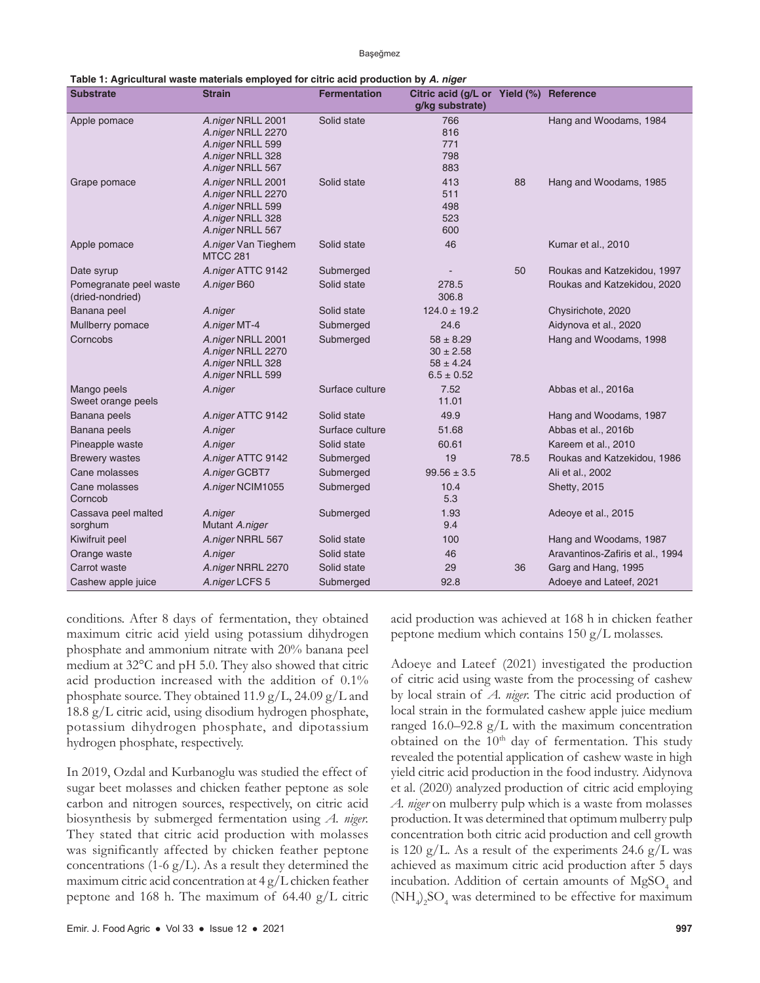Başeğmez

| Table 1: Agricultural waste materials employed for citric acid production by A. <i>niger</i> |                                                                                                    |                     |                                                                   |      |                                  |  |  |
|----------------------------------------------------------------------------------------------|----------------------------------------------------------------------------------------------------|---------------------|-------------------------------------------------------------------|------|----------------------------------|--|--|
| <b>Substrate</b>                                                                             | <b>Strain</b>                                                                                      | <b>Fermentation</b> | Citric acid (g/L or Yield (%)<br>g/kg substrate)                  |      | Reference                        |  |  |
| Apple pomace                                                                                 | A.niger NRLL 2001<br>A.niger NRLL 2270<br>A.niger NRLL 599<br>A.niger NRLL 328<br>A.niger NRLL 567 | Solid state         | 766<br>816<br>771<br>798<br>883                                   |      | Hang and Woodams, 1984           |  |  |
| Grape pomace                                                                                 | A.niger NRLL 2001<br>A.niger NRLL 2270<br>A.niger NRLL 599<br>A.niger NRLL 328<br>A.niger NRLL 567 | Solid state         | 413<br>511<br>498<br>523<br>600                                   | 88   | Hang and Woodams, 1985           |  |  |
| Apple pomace                                                                                 | A.niger Van Tieghem<br><b>MTCC 281</b>                                                             | Solid state         | 46                                                                |      | Kumar et al., 2010               |  |  |
| Date syrup                                                                                   | A.niger ATTC 9142                                                                                  | Submerged           |                                                                   | 50   | Roukas and Katzekidou, 1997      |  |  |
| Pomegranate peel waste<br>(dried-nondried)                                                   | A.niger B60                                                                                        | Solid state         | 278.5<br>306.8                                                    |      | Roukas and Katzekidou, 2020      |  |  |
| Banana peel                                                                                  | A.niger                                                                                            | Solid state         | $124.0 \pm 19.2$                                                  |      | Chysirichote, 2020               |  |  |
| Mullberry pomace                                                                             | A.niger MT-4                                                                                       | Submerged           | 24.6                                                              |      | Aidynova et al., 2020            |  |  |
| Corncobs                                                                                     | A.niger NRLL 2001<br>A.niger NRLL 2270<br>A.niger NRLL 328<br>A.niger NRLL 599                     | Submerged           | $58 \pm 8.29$<br>$30 \pm 2.58$<br>$58 \pm 4.24$<br>$6.5 \pm 0.52$ |      | Hang and Woodams, 1998           |  |  |
| Mango peels<br>Sweet orange peels                                                            | A.niger                                                                                            | Surface culture     | 7.52<br>11.01                                                     |      | Abbas et al., 2016a              |  |  |
| Banana peels                                                                                 | A.niger ATTC 9142                                                                                  | Solid state         | 49.9                                                              |      | Hang and Woodams, 1987           |  |  |
| Banana peels                                                                                 | A.niger                                                                                            | Surface culture     | 51.68                                                             |      | Abbas et al., 2016b              |  |  |
| Pineapple waste                                                                              | A.niger                                                                                            | Solid state         | 60.61                                                             |      | Kareem et al., 2010              |  |  |
| <b>Brewery wastes</b>                                                                        | A.niger ATTC 9142                                                                                  | Submerged           | 19                                                                | 78.5 | Roukas and Katzekidou, 1986      |  |  |
| Cane molasses                                                                                | A.niger GCBT7                                                                                      | Submerged           | $99.56 \pm 3.5$                                                   |      | Ali et al., 2002                 |  |  |
| Cane molasses<br>Corncob                                                                     | A.niger NCIM1055                                                                                   | Submerged           | 10.4<br>5.3                                                       |      | <b>Shetty, 2015</b>              |  |  |
| Cassava peel malted<br>sorghum                                                               | A.niger<br>Mutant A.niger                                                                          | Submerged           | 1.93<br>9.4                                                       |      | Adeoye et al., 2015              |  |  |
| Kiwifruit peel                                                                               | A.niger NRRL 567                                                                                   | Solid state         | 100                                                               |      | Hang and Woodams, 1987           |  |  |
| Orange waste                                                                                 | A.niger                                                                                            | Solid state         | 46                                                                |      | Aravantinos-Zafiris et al., 1994 |  |  |
| Carrot waste                                                                                 | A.niger NRRL 2270                                                                                  | Solid state         | 29                                                                | 36   | Garg and Hang, 1995              |  |  |
| Cashew apple juice                                                                           | A.niger LCFS 5                                                                                     | Submerged           | 92.8                                                              |      | Adoeye and Lateef, 2021          |  |  |

| Table 1: Agricultural waste materials employed for citric acid production by A. niger |  |  |  |
|---------------------------------------------------------------------------------------|--|--|--|
|---------------------------------------------------------------------------------------|--|--|--|

conditions. After 8 days of fermentation, they obtained maximum citric acid yield using potassium dihydrogen phosphate and ammonium nitrate with 20% banana peel medium at 32°C and pH 5.0. They also showed that citric acid production increased with the addition of 0.1% phosphate source. They obtained 11.9 g/L, 24.09 g/L and 18.8 g/L citric acid, using disodium hydrogen phosphate, potassium dihydrogen phosphate, and dipotassium hydrogen phosphate, respectively.

In 2019, Ozdal and Kurbanoglu was studied the effect of sugar beet molasses and chicken feather peptone as sole carbon and nitrogen sources, respectively, on citric acid biosynthesis by submerged fermentation using *A. niger.*  They stated that citric acid production with molasses was significantly affected by chicken feather peptone concentrations (1-6 g/L). As a result they determined the maximum citric acid concentration at 4 g/L chicken feather peptone and 168 h. The maximum of 64.40  $g/L$  citric acid production was achieved at 168 h in chicken feather peptone medium which contains 150 g/L molasses.

Adoeye and Lateef (2021) investigated the production of citric acid using waste from the processing of cashew by local strain of *A. niger.* The citric acid production of local strain in the formulated cashew apple juice medium ranged  $16.0-92.8$  g/L with the maximum concentration obtained on the  $10<sup>th</sup>$  day of fermentation. This study revealed the potential application of cashew waste in high yield citric acid production in the food industry. Aidynova et al. (2020) analyzed production of citric acid employing *A. niger* on mulberry pulp which is a waste from molasses production. It was determined that optimum mulberry pulp concentration both citric acid production and cell growth is 120 g/L. As a result of the experiments 24.6 g/L was achieved as maximum citric acid production after 5 days incubation. Addition of certain amounts of  $MgSO_4$  and  $(\text{NH}_{4})_{2}\text{SO}_{4}$  was determined to be effective for maximum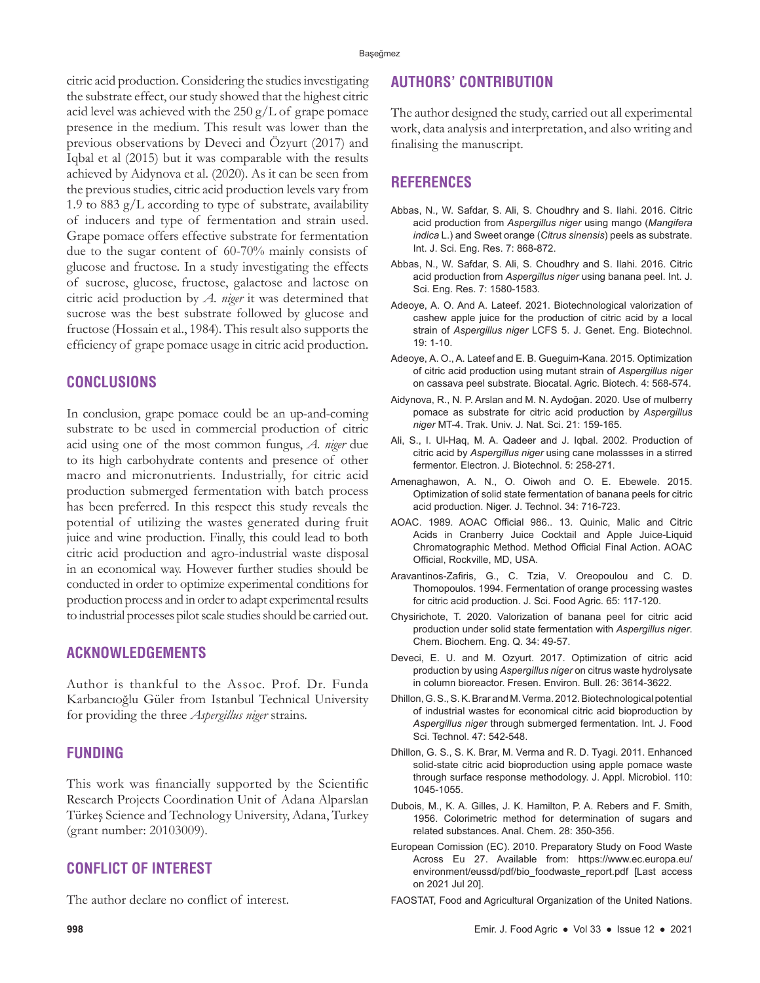citric acid production. Considering the studies investigating the substrate effect, our study showed that the highest citric acid level was achieved with the  $250 \text{ g/L}$  of grape pomace presence in the medium. This result was lower than the previous observations by Deveci and Özyurt (2017) and Iqbal et al (2015) but it was comparable with the results achieved by Aidynova et al. (2020). As it can be seen from the previous studies, citric acid production levels vary from 1.9 to 883  $g/L$  according to type of substrate, availability of inducers and type of fermentation and strain used. Grape pomace offers effective substrate for fermentation due to the sugar content of 60-70% mainly consists of glucose and fructose. In a study investigating the effects of sucrose, glucose, fructose, galactose and lactose on citric acid production by *A. niger* it was determined that sucrose was the best substrate followed by glucose and fructose (Hossain et al., 1984). This result also supports the efficiency of grape pomace usage in citric acid production.

# **CONCLUSIONS**

In conclusion, grape pomace could be an up-and-coming substrate to be used in commercial production of citric acid using one of the most common fungus, *A. niger* due to its high carbohydrate contents and presence of other macro and micronutrients. Industrially, for citric acid production submerged fermentation with batch process has been preferred. In this respect this study reveals the potential of utilizing the wastes generated during fruit juice and wine production. Finally, this could lead to both citric acid production and agro-industrial waste disposal in an economical way. However further studies should be conducted in order to optimize experimental conditions for production process and in order to adapt experimental results to industrial processes pilot scale studies should be carried out.

# **ACKNOWLEDGEMENTS**

Author is thankful to the Assoc. Prof. Dr. Funda Karbancıoğlu Güler from Istanbul Technical University for providing the three *Aspergillus niger* strains.

### **FUNDING**

This work was financially supported by the Scientific Research Projects Coordination Unit of Adana Alparslan Türkeş Science and Technology University, Adana, Turkey (grant number: 20103009).

# **CONFLICT OF INTEREST**

The author declare no conflict of interest.

# **AUTHORS' CONTRIBUTION**

The author designed the study, carried out all experimental work, data analysis and interpretation, and also writing and finalising the manuscript.

# **REFERENCES**

- Abbas, N., W. Safdar, S. Ali, S. Choudhry and S. Ilahi. 2016. Citric acid production from *Aspergillus niger* using mango (*Mangifera indica* L.) and Sweet orange (*Citrus sinensis*) peels as substrate. Int. J. Sci. Eng. Res. 7: 868-872.
- Abbas, N., W. Safdar, S. Ali, S. Choudhry and S. Ilahi. 2016. Citric acid production from *Aspergillus niger* using banana peel. Int. J. Sci. Eng. Res. 7: 1580-1583.
- Adeoye, A. O. And A. Lateef. 2021. Biotechnological valorization of cashew apple juice for the production of citric acid by a local strain of *Aspergillus niger* LCFS 5. J. Genet. Eng. Biotechnol. 19: 1-10.
- Adeoye, A. O., A. Lateef and E. B. Gueguim-Kana. 2015. Optimization of citric acid production using mutant strain of *Aspergillus niger* on cassava peel substrate. Biocatal. Agric. Biotech. 4: 568-574.
- Aidynova, R., N. P. Arslan and M. N. Aydoğan. 2020. Use of mulberry pomace as substrate for citric acid production by *Aspergillus niger* MT-4. Trak. Univ. J. Nat. Sci. 21: 159-165.
- Ali, S., I. Ul-Haq, M. A. Qadeer and J. Iqbal. 2002. Production of citric acid by *Aspergillus niger* using cane molassses in a stirred fermentor. Electron. J. Biotechnol. 5: 258-271.
- Amenaghawon, A. N., O. Oiwoh and O. E. Ebewele. 2015. Optimization of solid state fermentation of banana peels for citric acid production. Niger. J. Technol. 34: 716-723.
- AOAC. 1989. AOAC Official 986.. 13. Quinic, Malic and Citric Acids in Cranberry Juice Cocktail and Apple Juice-Liquid Chromatographic Method. Method Official Final Action. AOAC Official, Rockville, MD, USA.
- Aravantinos-Zafiris, G., C. Tzia, V. Oreopoulou and C. D. Thomopoulos. 1994. Fermentation of orange processing wastes for citric acid production. J. Sci. Food Agric. 65: 117-120.
- Chysirichote, T. 2020. Valorization of banana peel for citric acid production under solid state fermentation with *Aspergillus niger*. Chem. Biochem. Eng. Q. 34: 49-57.
- Deveci, E. U. and M. Ozyurt. 2017. Optimization of citric acid production by using *Aspergillus niger* on citrus waste hydrolysate in column bioreactor. Fresen. Environ. Bull. 26: 3614-3622.
- Dhillon, G. S., S. K. Brar and M. Verma. 2012. Biotechnological potential of industrial wastes for economical citric acid bioproduction by *Aspergillus niger* through submerged fermentation. Int. J. Food Sci. Technol. 47: 542-548.
- Dhillon, G. S., S. K. Brar, M. Verma and R. D. Tyagi. 2011. Enhanced solid-state citric acid bioproduction using apple pomace waste through surface response methodology. J. Appl. Microbiol. 110: 1045-1055.
- Dubois, M., K. A. Gilles, J. K. Hamilton, P. A. Rebers and F. Smith, 1956. Colorimetric method for determination of sugars and related substances. Anal. Chem. 28: 350-356.
- European Comission (EC). 2010. Preparatory Study on Food Waste Across Eu 27. Available from: https://www.ec.europa.eu/ environment/eussd/pdf/bio\_foodwaste\_report.pdf [Last access on 2021 Jul 20].
- FAOSTAT, Food and Agricultural Organization of the United Nations.